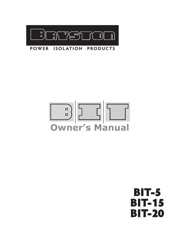

#### **POWER ISOLATION PRODUCTS**

# **Owner's Manual**

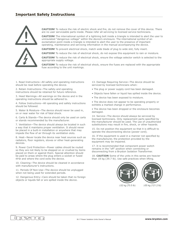

**CAUTION!** To reduce the risk of electric shock and fire, do not remove the cover of this device. There are no user serviceable parts inside. Please refer all servicing to licensed service technicians.

**CAUTION!** The international symbol of a lightning bolt inside a triangle is intended to alert the user to uninsulated "dangerous voltage" within the device's enclosure. The international symbol of an exclamation point inside a triangle is intended to alert the user to the presence of important operating, maintenance and servicing information in the manual accompanying the device.

**CAUTION!** To prevent electrical shock, match wide blade of plug to wide slot, fully insert.

**CAUTION!** To reduce the risk of electrical shock, do not expose this equipment to rain or moisture.

**CAUTION!** To reduce the risk of electrical shock, ensure the voltage selector switch is selected to the appropriate supply voltage.

**CAUTION!** To reduce the risk of electrical shock, ensure the fuses are replaced with the appropriate fuse according to the unit markings.

1. Read Instructions—All safety and operating instructions should be read before operating the device.

2. Retain Instructions—The safety and operating instructions should be retained for future reference.

3. Heed Warnings—All warnings on the device and in the operating instructions should be adhered to.

4. Follow Instructions—All operating and safety instructions should be followed.

5. Water & Moisture—The device should never be used in, on or near water for risk of fatal shock.

6. Carts & Stands—The device should only be used on carts or stands recommended by the manufacturer.

7. Ventilation—The device should always be located in such a way that it maintains proper ventilation. It should never be placed in a built-in installation or anywhere that may impede the flow of air through its ventilation slots.

8. Heat—Never locate the device near heat sources such as radiators, floor registers, stoves or other heat-generating devices.

9. Power Cord Protection—Power cables should be routed so they are not likely to be stepped on or crushed by items placed on them or against them. Special attention should be paid to areas where the plug enters a socket or fused strip and where the cord exits the device.

10. Cleaning—The device should be cleaned in accordance with manufacturer's instructions.

11. Periods Of Non-Use—The device should be unplugged when not being used for extended periods.

12. Dangerous Entry—Care should be taken that no foreign objects or liquids fall or are spilled inside the device.

13. Damage Requiring Service—The device should be serviced by licensed technicians when:

- The plug or power supply cord has been damaged.
- Objects have fallen or liquid has spilled inside the device.
- The device has been exposed to moisture.

• The device does not appear to be operating properly or exhibits a marked change in performance.

• The device has been dropped or the enclosure becomes damaged.

14. Service—The device should always be serviced by licensed technicians. Only replacement parts specified by the manufacturer should be used. The use of unauthorized substitutions may result in fire, shock, or other hazards.

15. Do not position the equipment so that it is difficult to operate the disconnecting device (power cord).

16. If the equipment is used in a manner not specified by the manufacturer, the protection provided by the equipment may be impaired.

17. It is recommended that component power switch remains in the "off" position when connecting or disconnecting from a Bryston Isolation Transformer.

18. CAUTION Some of the units in this series are heavier than 18 kg (39.7 lb). Use safe practices when lifting.

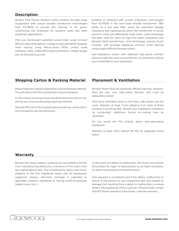#### **Description**

Bryston PIUs (Power Isolation Units) combine the best surge suppression with unique toroidal transformer technologies from PLITRON to provide the ultimate in AC power conditioning and protection for sensitive audio and video equipment applications.

PIUs use ZeroSurge® patented series-mode surge removal filters to absorb dangerous voltage surges and safely dissipate them without using failure-prone MOVs (metal oxide varistors). Also, unlike MOV-based protection, voltage surges are not shunted to ground.

Isolation is combined with proven proprietary technologies from PLITRON in the over-sized toroidal transformer. NBT works as a low pass filter using the controlled leakage inductance and capacitances within the transformer to cancel common mode and differential mode noise. LoNo technology has been used for years by high-end audio companies who demand silent transformers. Imin technology reduces inrush currents. UST provides additional common mode filtering using a highly efficient faraday screen.

Low-impedance output with balanced high-power primary input provides the most unconstrained, yet protected, energy source available to your equipment.

#### **Shipping Carton & Packing Material**

Please keep the original shipping box and all packing material. This will ensure the PIU is protected in future transport.

In the unlikely event you have a problem and must return it for service you must use the proper packing material.

Ship the PIU only in the original packing material, as the unit is not insurable by carriers otherwise.

#### **Placement & Ventilation**

Bryston Power PIUs are extremely efficient devices, however, they are also very high-power devices, and must be adequately cooled.

PIUs have ventilation slots on the base, side panels and the cover. Maintain at least 2.5cm distance from each of these surfaces to anything else. Should your installation conditions be constricted, additional forced air-cooling may be necessary.

Do not install the PIU directly above heat-generating equipment.

Maintain at least 15cm behind the PIU for adequate wiring space.

#### **Warranty**

Bryston BIT power isolation products are warranted to be free from manufacturing defects for a minimum of five years from the original date of sale. This includes parts, labour and return shipping to the first registered owner and all subsequent registered owners. Warranty coverage is extended to applicable products registered or having proof-of-purchase (sales invoice, etc.).

In the event of a defect or malfunction, BIT Power will remedy the problem by repair or replacement, as we deem necessary, to restore the product to full performance.

This warranty is considered void if the defect, malfunction or failure of the product or any component part was caused by damage (not resulting from a defect or malfunction) or abuse while in the possession of the customer. Failure to fully comply with BIT Power operating instructions, voids the warranty.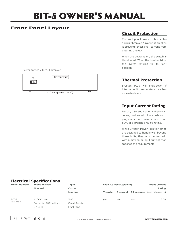## BIT-5 OWNER'S MANUAL

### **Front Panel Layout**

Power Switch / Circuit Breaker



#### **Circuit Protection**

The front panel power switch is also a circuit breaker. As a circuit breaker, it prevents excessive current from entering the PIU.

When the power is on, the switch is illuminated. When the breaker trips, the switch returns to its "off" position.

#### **Thermal Protection**

Bryston PIUs will shut-down if internal unit temperature reaches excessive levels.

### **Input Current Rating**

Per UL, CSA and National Electrical codes, devices with line cords and plugs must not consume more than 80% of a branch circuit's rating.

While Bryston Power Isolation Units are designed to handle well beyond these limits, they must be marked with a maximum input current that satisfies the requirements.

#### **Electrical Specifications**

| <b>Model Number</b>     | <b>Input Voltage</b>                                | Input                                  | <b>Load Current Capability</b> |     |                     | <b>Input Current</b> |  |
|-------------------------|-----------------------------------------------------|----------------------------------------|--------------------------------|-----|---------------------|----------------------|--|
|                         | <b>Nominal</b>                                      | <b>Current</b>                         |                                |     |                     |                      |  |
|                         |                                                     | Limiting                               | $\frac{1}{2}$ cvcle            |     | 1 second 10 seconds | (see note above)     |  |
| BIT-5<br>(Torus CS-5-S) | 120VAC, 60Hz<br>Range $+/- 10\%$ voltage<br>57-63Hz | 5.0A<br>Circuit Breaker<br>Front Panel | 50A                            | 40A | 15A                 | 5.0A                 |  |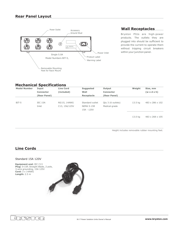

Bryston PIUs are high-power products. The outlets they are plugged into should be sufficient to provide the current to operate them without tripping circuit breakers within your junction panel.

#### **Mechanical Specifications**

| <b>Model Number</b> | Input            | <b>Line Cord</b> | <b>Suggested</b>  | Output            | Weight  | Size, mm                |
|---------------------|------------------|------------------|-------------------|-------------------|---------|-------------------------|
|                     | <b>Connector</b> | (included)       | Wall              | <b>Connector</b>  |         | $(w \times d \times h)$ |
|                     | (Rear Panel)     |                  | Receptacle        | (Rear Panel)      |         |                         |
|                     |                  |                  |                   |                   |         |                         |
| BIT-5               | IEC 15A          | N5/15, 14AWG     | Standard outlet   | Oty 3 (6 outlets) | 13.5 kg | 483 x 286 x 102         |
|                     | Inlet            | C13, 15A/125V    | <b>NEMA 5-15R</b> | Medical-grade     |         |                         |
|                     |                  |                  | 15A - 125V        |                   |         |                         |
|                     |                  |                  |                   |                   |         |                         |
|                     |                  |                  |                   |                   |         |                         |

13.0 kg 483 x 268 x 105

Height includes removable rubber mounting feet.

#### **Line Cords**

#### Standard 15A 120V

**Equipment end: IEC C13** Plug: 5-15P, Straight Blade, 2 pole, 3-wire grounding, 15A 125V 3 x 14AWG **Cord:** 2.5 m **Length:**



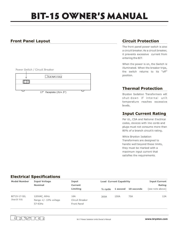## **BIT-15 OWNER'S MANUAL**

#### **Front Panel Layout**

|  |  |  |  | Power Switch / Circuit Breaker |
|--|--|--|--|--------------------------------|
|--|--|--|--|--------------------------------|



### **Circuit Protection**

The front panel power switch is also a circuit breaker. As a circuit breaker, it prevents excessive current from entering the BIT.

When the power is on, the Switch is illuminated. When the breaker trips, the switch returns to its "off" position.

#### **Thermal Protection**

Bryston Isolation Transformers will shut-down if internal unit temperature reaches excessive levels.

#### **Input Current Rating**

Per UL, CSA and National Electrical codes, devices with line cords and plugs must not consume more than 80% of a branch circuit's rating.

While Bryston Isolation Transformers are designed to handle well beyond these limits, they must be marked with a maximum input current that satisfies the requirements.

#### **Electrical Specifications**

| <b>Model Number</b>             | <b>Input Voltage</b><br><b>Nominal</b>              | Input<br>Current                      | <b>Load Current Capability</b> |          |            | <b>Input Current</b><br>Rating |
|---------------------------------|-----------------------------------------------------|---------------------------------------|--------------------------------|----------|------------|--------------------------------|
|                                 |                                                     | Limiting                              | $\frac{1}{2}$ cycle            | 1 second | 10 seconds | (see note above)               |
| BIT15-17-SIL<br>(Torus CS 15-S) | 120VAC, 60Hz<br>Range $+/- 10\%$ voltage<br>57-63Hz | 16A<br>Circuit Breaker<br>Front Panel | 300A                           | 150A     | 75A        | 12A                            |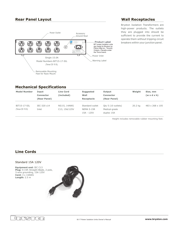#### **Rear Panel Layout**



#### **Wall Receptacles**

Bryston Isolation Transformers are high-power products. The outlets they are plugged into should be sufficient to provide the current to operate them without tripping circuit breakers within your junction panel.

#### **Mechanical Specifications**

| <b>Model Number</b> | Input            | <b>Line Cord</b> | <b>Suggested</b>  | Output             | Weight  | Size, mm                |
|---------------------|------------------|------------------|-------------------|--------------------|---------|-------------------------|
|                     | <b>Connector</b> | (included)       | Wall              | <b>Connector</b>   |         | $(w \times d \times h)$ |
|                     | (Rear Panel)     |                  | Receptacle        | (Rear Panel)       |         |                         |
|                     |                  |                  |                   |                    |         |                         |
| BIT15-17-SIL        | IEC-320 c14      | N5/15, 14AWG     | Standard outlet   | Oty 5 (10 outlets) | 20.2 kg | 483 x 268 x 105         |
| (Torus CS 15 S)     | Inlet            | C13, 15A/125V    | <b>NEMA 5-15R</b> | Medical-grade      |         |                         |
|                     |                  |                  | 15A - 125V        | duplex 15A         |         |                         |
|                     |                  |                  |                   |                    |         |                         |

Height includes removable rubber mounting feet.

#### **Line Cords**

#### Standard 15A 120V

**Equipment end: IEC C13** Plug: 5-15P, Straight Blade, 2 pole, 3-wire grounding, 15A 125V 3 x 14AWG **Cord:** 2.5 m **Length:**



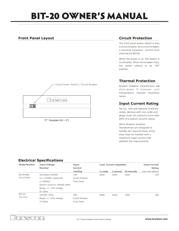## **BIT-20 OWNER'S MANUAL**

#### **Front Panel Layout**



#### **Circuit Protection**

The front panel power switch is also a circuit breaker. As a circuit breaker, it prevents excessive current from entering the BIT20.

When the power is on, the Switch is illuminated. When the breaker trips, the switch returns to its "off" position.

#### **Thermal Protection**

Bryston Isolation Transformers will shut-down if internal unit temperature reaches excessive levels.

#### **Input Current Rating**

Per UL, CSA and National Electrical codes, devices with line cords and plugs must not consume more than 80% of a branch circuit's rating.

While Bryston Isolation Transformers are designed to handle well beyond these limits, they must be marked with a maximum input current that satisfies the requirements.

#### **Electrical Specifications**

| <b>Model Number</b> | <b>Input Voltage</b>           | Input           |                     | <b>Load Current Capability</b> |            |                  |
|---------------------|--------------------------------|-----------------|---------------------|--------------------------------|------------|------------------|
|                     | <b>Nominal</b>                 | Current         |                     |                                |            | Rating           |
|                     |                                | Limiting        | $\frac{1}{2}$ cycle | 1 second                       | 10 seconds | (see note above) |
| BIT20-BAL           | Selectable 240VAC              | 10A             | 600A                | 300A                           | 150A       | 10A              |
| (Torus CS 20 BAL)   | $(2 \times 120$ VAC, balanced) | Circuit Breaker |                     |                                | 100A       |                  |
|                     | or 208VAC.                     | Front Panel     |                     |                                |            |                  |
|                     | Factory wired for 240VAC 60Hz  |                 |                     |                                |            |                  |
|                     | Range $+/- 10\%$ voltage       |                 |                     |                                |            |                  |
|                     | 57-63Hz                        |                 |                     |                                |            |                  |
| <b>BIT-20</b>       | 120VAC, 60Hz                   | 20A             | 400A                | 200A                           |            | 16A              |
| (Torus CS 20)       | Range $+/- 10\%$ voltage       | Circuit Breaker |                     |                                |            |                  |
|                     | 57-63Hz                        | Front Panel     |                     |                                |            |                  |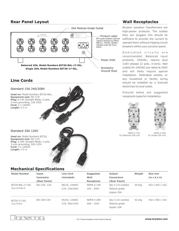#### **Rear Panel Layout Wall Receptacles**



Bryston Isolation Transformers are high-power products. The outlets they are plugged into should be sufficient to provide the current to operate them without tripping circuit breakers within your junction panel.

Dedicated circuits are recommended. Balanced input products, 240VAC, require dual 120V phases (2 pole, 3-wire). Wall outlets for 240VAC are rated at 250V and will likely require special installation. Dedicated outlets, or any household or facility wiring should be installed by a licenced electrician to local codes.

Pictured below are suggested receptacle types for installation.





NEMA 6-15R for Balanced 20A unit

NEMA 5-20R for Single 20A unit

#### **Mechanical Specifications**

Standard 20A 120V

**Cord:** 3 x 12AWG **Length:** 2.5 m

**Used on:** Model Numbers BIT20, **Equipment end:** IEC C19

3-wire grounding, 20A 125V

**Plug:** 5-20P, Straight Blade, 2 pole,

| <b>Model Number</b> | Input        | <b>Line Cord</b> | <b>Suggested</b>  | Output                      | Weight | Size mm                     |
|---------------------|--------------|------------------|-------------------|-----------------------------|--------|-----------------------------|
|                     | Connector    | (included)       | Wall              | <b>Connectors</b>           |        | $(w \times d \times h)$     |
|                     | (Rear Panel) |                  | Receptacle        | (Rear Panel)                |        |                             |
| BIT20-BAL-17-SIL    | IEC-320 C20  | N6/15, 14AWG     | <b>NEMA 6-15R</b> | Oty 5 (10 outlets)          | 39.5kg | 432 x 402 x 162             |
| (Torus CS 20 BAL S) |              | C19, 15A/250V    | 15A - 250V        | Medical-grade               |        |                             |
|                     |              |                  |                   | duplex 20A                  |        |                             |
| BIT20-17-SIL        | IEC-320 C20  | N5/20, 12AWG     | <b>NEMA 5-20R</b> | Oty $5(10 \text{ outlets})$ | 42.2kg | $432 \times 402 \times 162$ |
| (Torus CS 20 S)     |              | C19, 20A/125V    | $20A - 125V$      | Medical-grade               |        |                             |
|                     |              |                  |                   | duplex 20A                  |        |                             |